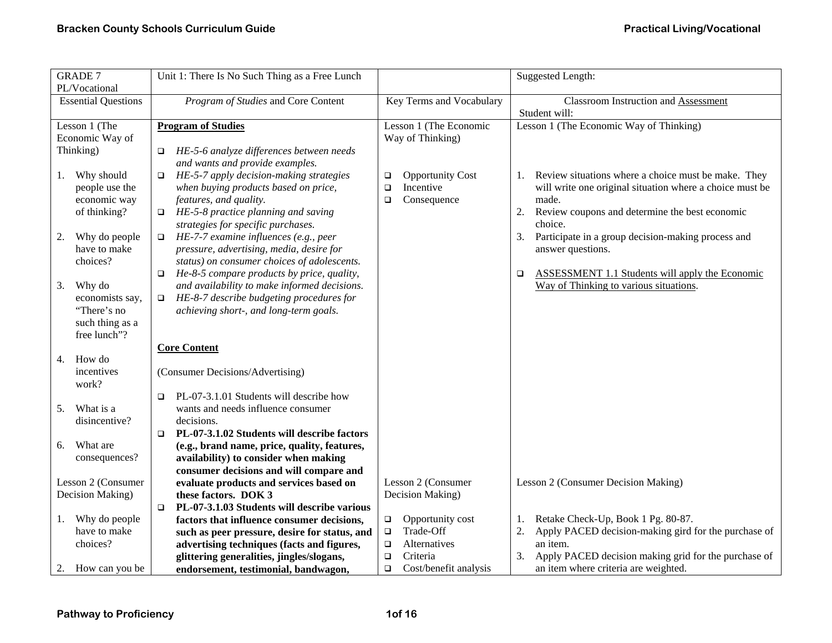| <b>GRADE 7</b><br>PL/Vocational     | Unit 1: There Is No Such Thing as a Free Lunch                                              |                                 | Suggested Length:                                                             |
|-------------------------------------|---------------------------------------------------------------------------------------------|---------------------------------|-------------------------------------------------------------------------------|
| <b>Essential Questions</b>          | Program of Studies and Core Content                                                         | Key Terms and Vocabulary        | Classroom Instruction and Assessment                                          |
|                                     |                                                                                             |                                 | Student will:                                                                 |
| Lesson 1 (The                       | <b>Program of Studies</b>                                                                   | Lesson 1 (The Economic          | Lesson 1 (The Economic Way of Thinking)                                       |
| Economic Way of                     |                                                                                             | Way of Thinking)                |                                                                               |
| Thinking)                           | HE-5-6 analyze differences between needs<br>$\Box$                                          |                                 |                                                                               |
|                                     | and wants and provide examples.                                                             |                                 |                                                                               |
| Why should<br>1.                    | HE-5-7 apply decision-making strategies<br>$\Box$                                           | <b>Opportunity Cost</b><br>□    | Review situations where a choice must be make. They<br>1.                     |
| people use the                      | when buying products based on price,                                                        | Incentive<br>$\Box$             | will write one original situation where a choice must be                      |
| economic way                        | features, and quality.                                                                      | Consequence<br>$\Box$           | made.                                                                         |
| of thinking?                        | HE-5-8 practice planning and saving<br>$\Box$                                               |                                 | 2.<br>Review coupons and determine the best economic                          |
|                                     | strategies for specific purchases.                                                          |                                 | choice.                                                                       |
| Why do people<br>2.<br>have to make | HE-7-7 examine influences (e.g., peer<br>$\Box$<br>pressure, advertising, media, desire for |                                 | 3.<br>Participate in a group decision-making process and<br>answer questions. |
| choices?                            | status) on consumer choices of adolescents.                                                 |                                 |                                                                               |
|                                     | He-8-5 compare products by price, quality,<br>$\Box$                                        |                                 | ASSESSMENT 1.1 Students will apply the Economic<br>$\Box$                     |
| Why do<br>3.                        | and availability to make informed decisions.                                                |                                 | Way of Thinking to various situations.                                        |
| economists say,                     | HE-8-7 describe budgeting procedures for<br>$\Box$                                          |                                 |                                                                               |
| "There's no                         | achieving short-, and long-term goals.                                                      |                                 |                                                                               |
| such thing as a                     |                                                                                             |                                 |                                                                               |
| free lunch"?                        |                                                                                             |                                 |                                                                               |
|                                     | <b>Core Content</b>                                                                         |                                 |                                                                               |
| How do<br>4.                        |                                                                                             |                                 |                                                                               |
| incentives                          | (Consumer Decisions/Advertising)                                                            |                                 |                                                                               |
| work?                               |                                                                                             |                                 |                                                                               |
|                                     | PL-07-3.1.01 Students will describe how<br>$\Box$                                           |                                 |                                                                               |
| What is a<br>5.                     | wants and needs influence consumer                                                          |                                 |                                                                               |
| disincentive?                       | decisions.                                                                                  |                                 |                                                                               |
|                                     | PL-07-3.1.02 Students will describe factors<br>$\Box$                                       |                                 |                                                                               |
| What are<br>6.                      | (e.g., brand name, price, quality, features,                                                |                                 |                                                                               |
| consequences?                       | availability) to consider when making                                                       |                                 |                                                                               |
| Lesson 2 (Consumer                  | consumer decisions and will compare and                                                     | Lesson 2 (Consumer              |                                                                               |
| Decision Making)                    | evaluate products and services based on<br>these factors. DOK 3                             | Decision Making)                | Lesson 2 (Consumer Decision Making)                                           |
|                                     | PL-07-3.1.03 Students will describe various<br>$\Box$                                       |                                 |                                                                               |
| Why do people<br>1.                 | factors that influence consumer decisions,                                                  | Opportunity cost<br>$\Box$      | Retake Check-Up, Book 1 Pg. 80-87.<br>1.                                      |
| have to make                        | such as peer pressure, desire for status, and                                               | Trade-Off<br>$\Box$             | 2.<br>Apply PACED decision-making gird for the purchase of                    |
| choices?                            | advertising techniques (facts and figures,                                                  | Alternatives<br>$\Box$          | an item.                                                                      |
|                                     | glittering generalities, jingles/slogans,                                                   | Criteria<br>$\Box$              | Apply PACED decision making grid for the purchase of<br>3.                    |
| 2. How can you be                   | endorsement, testimonial, bandwagon,                                                        | Cost/benefit analysis<br>$\Box$ | an item where criteria are weighted.                                          |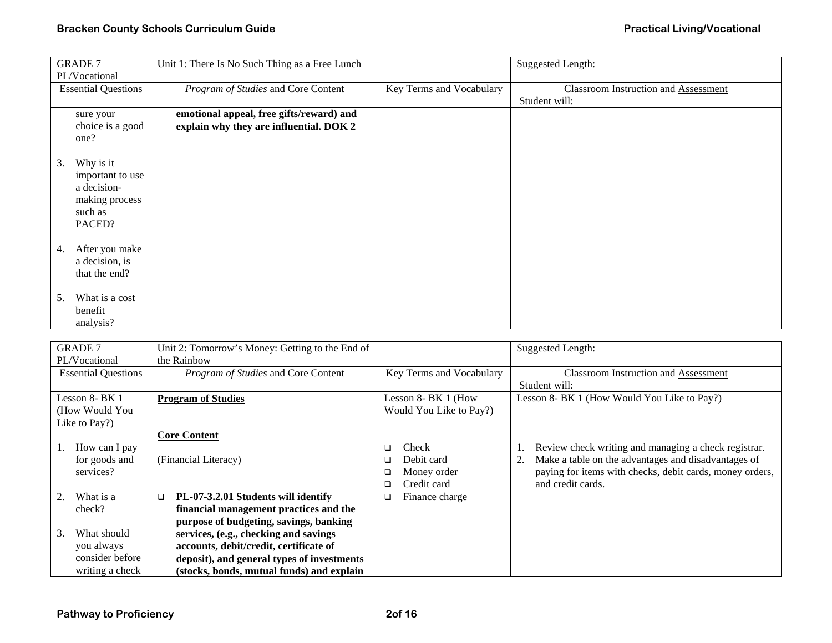| <b>GRADE 7</b><br>PL/Vocational                                                           | Unit 1: There Is No Such Thing as a Free Lunch                                      |                          | <b>Suggested Length:</b>                                     |
|-------------------------------------------------------------------------------------------|-------------------------------------------------------------------------------------|--------------------------|--------------------------------------------------------------|
| <b>Essential Questions</b>                                                                | Program of Studies and Core Content                                                 | Key Terms and Vocabulary | <b>Classroom Instruction and Assessment</b><br>Student will: |
| sure your<br>choice is a good<br>one?                                                     | emotional appeal, free gifts/reward) and<br>explain why they are influential. DOK 2 |                          |                                                              |
| Why is it<br>3.<br>important to use<br>a decision-<br>making process<br>such as<br>PACED? |                                                                                     |                          |                                                              |
| After you make<br>4.<br>a decision, is<br>that the end?                                   |                                                                                     |                          |                                                              |
| What is a cost<br>5.<br>benefit<br>analysis?                                              |                                                                                     |                          |                                                              |

| <b>GRADE 7</b>             | Unit 2: Tomorrow's Money: Getting to the End of |                          | <b>Suggested Length:</b>                                 |
|----------------------------|-------------------------------------------------|--------------------------|----------------------------------------------------------|
| PL/Vocational              | the Rainbow                                     |                          |                                                          |
| <b>Essential Questions</b> | Program of Studies and Core Content             | Key Terms and Vocabulary | <b>Classroom Instruction and Assessment</b>              |
|                            |                                                 |                          | Student will:                                            |
| Lesson 8- BK 1             | <b>Program of Studies</b>                       | Lesson 8- BK 1 (How      | Lesson 8- BK 1 (How Would You Like to Pay?)              |
| (How Would You             |                                                 | Would You Like to Pay?)  |                                                          |
| Like to Pay?)              |                                                 |                          |                                                          |
|                            | <b>Core Content</b>                             |                          |                                                          |
| How can I pay              |                                                 | Check<br>□               | Review check writing and managing a check registrar.     |
| for goods and              | (Financial Literacy)                            | Debit card<br>◻          | Make a table on the advantages and disadvantages of      |
| services?                  |                                                 | Money order<br>□         | paying for items with checks, debit cards, money orders, |
|                            |                                                 | Credit card<br>◻         | and credit cards.                                        |
| What is a                  | PL-07-3.2.01 Students will identify<br>□        | Finance charge<br>□      |                                                          |
| check?                     | financial management practices and the          |                          |                                                          |
|                            | purpose of budgeting, savings, banking          |                          |                                                          |
| What should<br>3.          | services, (e.g., checking and savings           |                          |                                                          |
| you always                 | accounts, debit/credit, certificate of          |                          |                                                          |
| consider before            | deposit), and general types of investments      |                          |                                                          |
| writing a check            | (stocks, bonds, mutual funds) and explain       |                          |                                                          |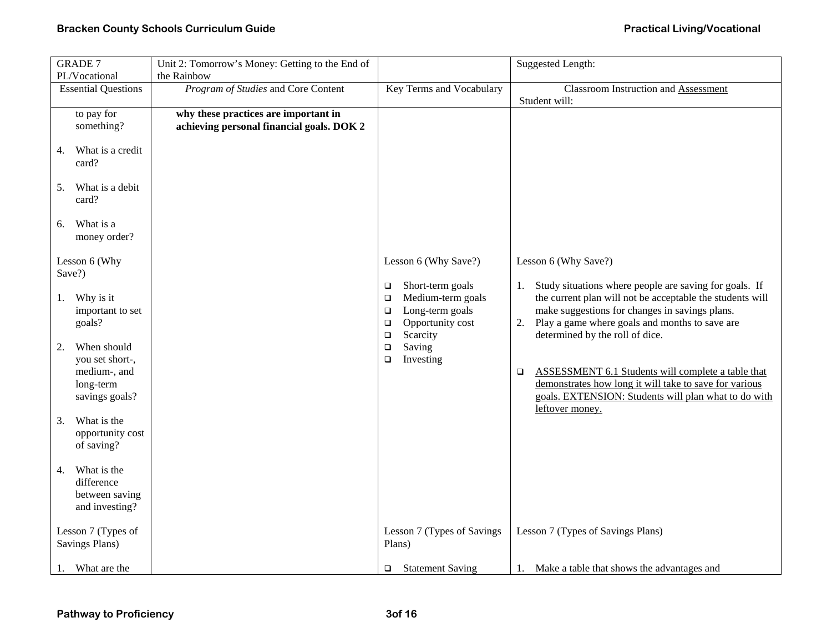## **Bracken County Schools Curriculum Guide** <br> **Bracken County Schools Curriculum Guide Practical Living/Vocational**

| <b>GRADE 7</b>                                                                                                                                                                                                                                                     | Unit 2: Tomorrow's Money: Getting to the End of |                                                                                                                                                                                  | Suggested Length:                                                                                                                                                                                                                                                                                                                                                                                                                                                        |
|--------------------------------------------------------------------------------------------------------------------------------------------------------------------------------------------------------------------------------------------------------------------|-------------------------------------------------|----------------------------------------------------------------------------------------------------------------------------------------------------------------------------------|--------------------------------------------------------------------------------------------------------------------------------------------------------------------------------------------------------------------------------------------------------------------------------------------------------------------------------------------------------------------------------------------------------------------------------------------------------------------------|
| PL/Vocational                                                                                                                                                                                                                                                      | the Rainbow                                     |                                                                                                                                                                                  |                                                                                                                                                                                                                                                                                                                                                                                                                                                                          |
| <b>Essential Questions</b>                                                                                                                                                                                                                                         | Program of Studies and Core Content             | <b>Key Terms and Vocabulary</b>                                                                                                                                                  | <b>Classroom Instruction and Assessment</b>                                                                                                                                                                                                                                                                                                                                                                                                                              |
|                                                                                                                                                                                                                                                                    |                                                 |                                                                                                                                                                                  | Student will:                                                                                                                                                                                                                                                                                                                                                                                                                                                            |
| to pay for                                                                                                                                                                                                                                                         | why these practices are important in            |                                                                                                                                                                                  |                                                                                                                                                                                                                                                                                                                                                                                                                                                                          |
| something?                                                                                                                                                                                                                                                         | achieving personal financial goals. DOK 2       |                                                                                                                                                                                  |                                                                                                                                                                                                                                                                                                                                                                                                                                                                          |
| What is a credit<br>4.<br>card?                                                                                                                                                                                                                                    |                                                 |                                                                                                                                                                                  |                                                                                                                                                                                                                                                                                                                                                                                                                                                                          |
| What is a debit<br>5.<br>card?                                                                                                                                                                                                                                     |                                                 |                                                                                                                                                                                  |                                                                                                                                                                                                                                                                                                                                                                                                                                                                          |
| What is a<br>6.<br>money order?                                                                                                                                                                                                                                    |                                                 |                                                                                                                                                                                  |                                                                                                                                                                                                                                                                                                                                                                                                                                                                          |
| Lesson 6 (Why<br>Save?)                                                                                                                                                                                                                                            |                                                 | Lesson 6 (Why Save?)                                                                                                                                                             | Lesson 6 (Why Save?)                                                                                                                                                                                                                                                                                                                                                                                                                                                     |
| Why is it<br>1.<br>important to set<br>goals?<br>When should<br>2.<br>you set short-,<br>medium-, and<br>long-term<br>savings goals?<br>What is the<br>3.<br>opportunity cost<br>of saving?<br>What is the<br>4.<br>difference<br>between saving<br>and investing? |                                                 | Short-term goals<br>о<br>Medium-term goals<br>$\Box$<br>Long-term goals<br>$\Box$<br>Opportunity cost<br>$\Box$<br>Scarcity<br>$\Box$<br>Saving<br>$\Box$<br>Investing<br>$\Box$ | Study situations where people are saving for goals. If<br>1.<br>the current plan will not be acceptable the students will<br>make suggestions for changes in savings plans.<br>2. Play a game where goals and months to save are<br>determined by the roll of dice.<br>ASSESSMENT 6.1 Students will complete a table that<br>$\Box$<br>demonstrates how long it will take to save for various<br>goals. EXTENSION: Students will plan what to do with<br>leftover money. |
| Lesson 7 (Types of<br>Savings Plans)                                                                                                                                                                                                                               |                                                 | Lesson 7 (Types of Savings)<br>Plans)                                                                                                                                            | Lesson 7 (Types of Savings Plans)                                                                                                                                                                                                                                                                                                                                                                                                                                        |
| What are the<br>1.                                                                                                                                                                                                                                                 |                                                 | <b>Statement Saving</b><br>$\Box$                                                                                                                                                | Make a table that shows the advantages and<br>1.                                                                                                                                                                                                                                                                                                                                                                                                                         |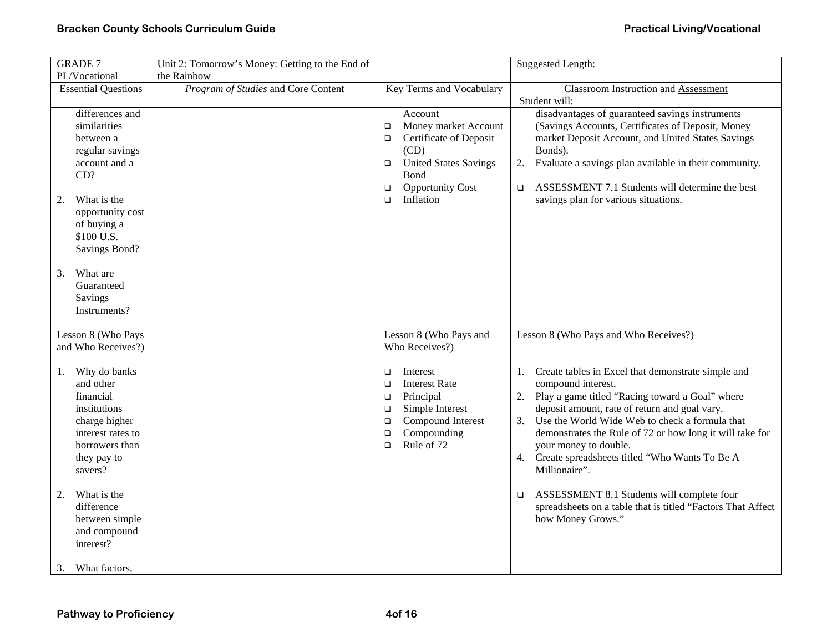| <b>GRADE 7</b>                     | Unit 2: Tomorrow's Money: Getting to the End of |                                                      | <b>Suggested Length:</b>                                                                              |
|------------------------------------|-------------------------------------------------|------------------------------------------------------|-------------------------------------------------------------------------------------------------------|
| PL/Vocational                      | the Rainbow                                     |                                                      |                                                                                                       |
| <b>Essential Questions</b>         | Program of Studies and Core Content             | Key Terms and Vocabulary                             | Classroom Instruction and Assessment                                                                  |
|                                    |                                                 |                                                      | Student will:                                                                                         |
| differences and                    |                                                 | Account                                              | disadvantages of guaranteed savings instruments                                                       |
| similarities                       |                                                 | Money market Account<br>$\Box$                       | (Savings Accounts, Certificates of Deposit, Money                                                     |
| between a                          |                                                 | Certificate of Deposit<br>$\Box$                     | market Deposit Account, and United States Savings                                                     |
| regular savings                    |                                                 | (CD)                                                 | Bonds).                                                                                               |
| account and a                      |                                                 | <b>United States Savings</b><br>$\Box$               | Evaluate a savings plan available in their community.<br>2.                                           |
| CD?                                |                                                 | Bond                                                 |                                                                                                       |
|                                    |                                                 | <b>Opportunity Cost</b><br>$\Box$<br>Inflation       | <b>ASSESSMENT 7.1 Students will determine the best</b><br>$\Box$                                      |
| What is the<br>2.                  |                                                 | $\Box$                                               | savings plan for various situations.                                                                  |
| opportunity cost<br>of buying a    |                                                 |                                                      |                                                                                                       |
| \$100 U.S.                         |                                                 |                                                      |                                                                                                       |
| Savings Bond?                      |                                                 |                                                      |                                                                                                       |
|                                    |                                                 |                                                      |                                                                                                       |
| What are<br>3.                     |                                                 |                                                      |                                                                                                       |
| Guaranteed                         |                                                 |                                                      |                                                                                                       |
| Savings                            |                                                 |                                                      |                                                                                                       |
| Instruments?                       |                                                 |                                                      |                                                                                                       |
|                                    |                                                 |                                                      |                                                                                                       |
| Lesson 8 (Who Pays                 |                                                 | Lesson 8 (Who Pays and                               | Lesson 8 (Who Pays and Who Receives?)                                                                 |
| and Who Receives?)                 |                                                 | Who Receives?)                                       |                                                                                                       |
|                                    |                                                 |                                                      |                                                                                                       |
| Why do banks<br>1.                 |                                                 | Interest<br>$\Box$                                   | Create tables in Excel that demonstrate simple and<br>1.                                              |
| and other                          |                                                 | <b>Interest Rate</b><br>$\Box$                       | compound interest.                                                                                    |
| financial                          |                                                 | Principal<br>$\Box$                                  | Play a game titled "Racing toward a Goal" where<br>2.                                                 |
| institutions                       |                                                 | Simple Interest<br>$\Box$                            | deposit amount, rate of return and goal vary.<br>Use the World Wide Web to check a formula that<br>3. |
| charge higher<br>interest rates to |                                                 | Compound Interest<br>$\Box$<br>Compounding<br>$\Box$ | demonstrates the Rule of 72 or how long it will take for                                              |
| borrowers than                     |                                                 | Rule of 72<br>$\Box$                                 | your money to double.                                                                                 |
| they pay to                        |                                                 |                                                      | Create spreadsheets titled "Who Wants To Be A<br>4.                                                   |
| savers?                            |                                                 |                                                      | Millionaire".                                                                                         |
|                                    |                                                 |                                                      |                                                                                                       |
| 2.<br>What is the                  |                                                 |                                                      | <b>ASSESSMENT 8.1 Students will complete four</b><br>$\Box$                                           |
| difference                         |                                                 |                                                      | spreadsheets on a table that is titled "Factors That Affect                                           |
| between simple                     |                                                 |                                                      | how Money Grows."                                                                                     |
| and compound                       |                                                 |                                                      |                                                                                                       |
| interest?                          |                                                 |                                                      |                                                                                                       |
|                                    |                                                 |                                                      |                                                                                                       |
| What factors,<br>3.                |                                                 |                                                      |                                                                                                       |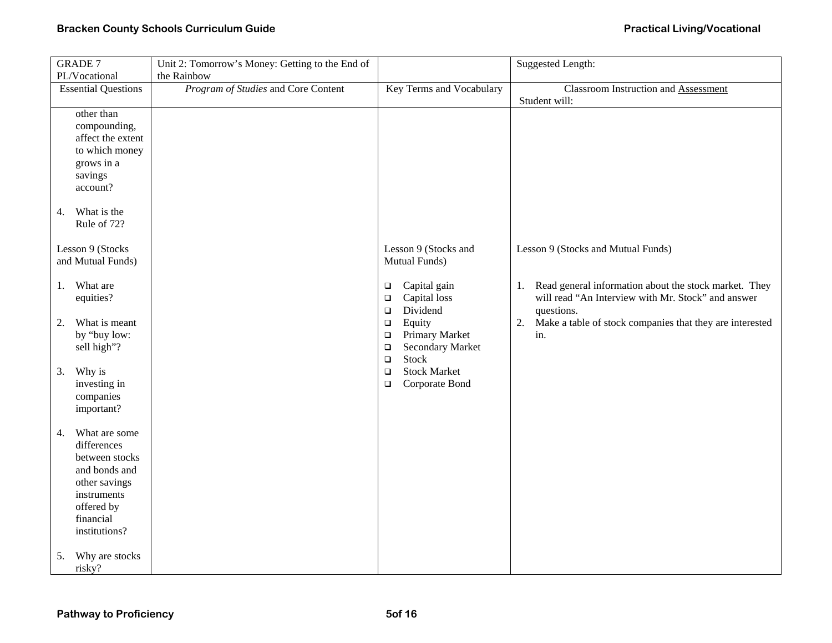| <b>GRADE 7</b>                      | Unit 2: Tomorrow's Money: Getting to the End of |                                              | <b>Suggested Length:</b>                                              |
|-------------------------------------|-------------------------------------------------|----------------------------------------------|-----------------------------------------------------------------------|
| PL/Vocational                       | the Rainbow                                     |                                              |                                                                       |
| <b>Essential Questions</b>          | Program of Studies and Core Content             | Key Terms and Vocabulary                     | <b>Classroom Instruction and Assessment</b>                           |
|                                     |                                                 |                                              | Student will:                                                         |
| other than                          |                                                 |                                              |                                                                       |
| compounding,                        |                                                 |                                              |                                                                       |
| affect the extent                   |                                                 |                                              |                                                                       |
| to which money                      |                                                 |                                              |                                                                       |
| grows in a<br>savings               |                                                 |                                              |                                                                       |
| account?                            |                                                 |                                              |                                                                       |
|                                     |                                                 |                                              |                                                                       |
| What is the<br>4.                   |                                                 |                                              |                                                                       |
| Rule of 72?                         |                                                 |                                              |                                                                       |
|                                     |                                                 |                                              |                                                                       |
| Lesson 9 (Stocks                    |                                                 | Lesson 9 (Stocks and                         | Lesson 9 (Stocks and Mutual Funds)                                    |
| and Mutual Funds)                   |                                                 | Mutual Funds)                                |                                                                       |
|                                     |                                                 |                                              |                                                                       |
| What are<br>1.                      |                                                 | Capital gain<br>$\Box$                       | Read general information about the stock market. They<br>1.           |
| equities?                           |                                                 | Capital loss<br>$\Box$                       | will read "An Interview with Mr. Stock" and answer                    |
|                                     |                                                 | Dividend<br>$\Box$                           | questions.                                                            |
| What is meant<br>2.<br>by "buy low: |                                                 | Equity<br>$\Box$<br>Primary Market<br>$\Box$ | Make a table of stock companies that they are interested<br>2.<br>in. |
| sell high"?                         |                                                 | <b>Secondary Market</b><br>$\Box$            |                                                                       |
|                                     |                                                 | <b>Stock</b><br>$\Box$                       |                                                                       |
| Why is<br>3.                        |                                                 | <b>Stock Market</b><br>$\Box$                |                                                                       |
| investing in                        |                                                 | Corporate Bond<br>$\Box$                     |                                                                       |
| companies                           |                                                 |                                              |                                                                       |
| important?                          |                                                 |                                              |                                                                       |
|                                     |                                                 |                                              |                                                                       |
| What are some<br>4.                 |                                                 |                                              |                                                                       |
| differences                         |                                                 |                                              |                                                                       |
| between stocks                      |                                                 |                                              |                                                                       |
| and bonds and                       |                                                 |                                              |                                                                       |
| other savings                       |                                                 |                                              |                                                                       |
| instruments<br>offered by           |                                                 |                                              |                                                                       |
| financial                           |                                                 |                                              |                                                                       |
| institutions?                       |                                                 |                                              |                                                                       |
|                                     |                                                 |                                              |                                                                       |
| Why are stocks<br>5.                |                                                 |                                              |                                                                       |
| risky?                              |                                                 |                                              |                                                                       |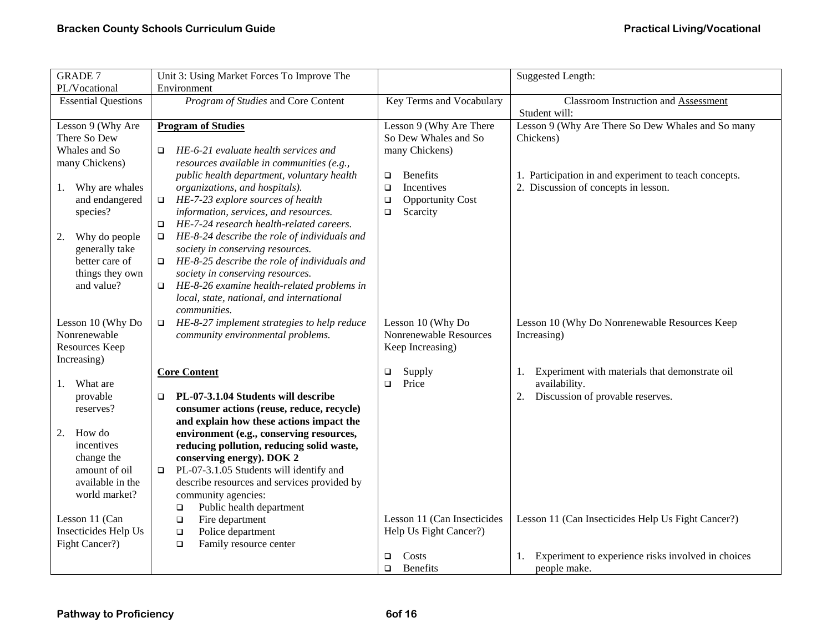| GRADE 7                                                                                                                                                                                                | Unit 3: Using Market Forces To Improve The                                                                                                                                                                                                                                                                                                                                                                                                                                                                                                           |                                                                                                                                                                                   | Suggested Length:                                                                                                                                                     |  |
|--------------------------------------------------------------------------------------------------------------------------------------------------------------------------------------------------------|------------------------------------------------------------------------------------------------------------------------------------------------------------------------------------------------------------------------------------------------------------------------------------------------------------------------------------------------------------------------------------------------------------------------------------------------------------------------------------------------------------------------------------------------------|-----------------------------------------------------------------------------------------------------------------------------------------------------------------------------------|-----------------------------------------------------------------------------------------------------------------------------------------------------------------------|--|
| PL/Vocational                                                                                                                                                                                          | Environment                                                                                                                                                                                                                                                                                                                                                                                                                                                                                                                                          |                                                                                                                                                                                   |                                                                                                                                                                       |  |
| <b>Essential Questions</b>                                                                                                                                                                             | Program of Studies and Core Content                                                                                                                                                                                                                                                                                                                                                                                                                                                                                                                  | Key Terms and Vocabulary                                                                                                                                                          | <b>Classroom Instruction and Assessment</b><br>Student will:                                                                                                          |  |
| Lesson 9 (Why Are<br>There So Dew<br>Whales and So<br>many Chickens)<br>Why are whales<br>1.<br>and endangered<br>species?<br>Why do people<br>2.<br>generally take                                    | <b>Program of Studies</b><br>HE-6-21 evaluate health services and<br>$\Box$<br>resources available in communities (e.g.,<br>public health department, voluntary health<br>organizations, and hospitals).<br>HE-7-23 explore sources of health<br>$\Box$<br>information, services, and resources.<br>HE-7-24 research health-related careers.<br>$\Box$<br>HE-8-24 describe the role of individuals and<br>$\Box$<br>society in conserving resources.                                                                                                 | Lesson 9 (Why Are There<br>So Dew Whales and So<br>many Chickens)<br><b>Benefits</b><br>$\Box$<br>Incentives<br>$\Box$<br>$\Box$<br><b>Opportunity Cost</b><br>Scarcity<br>$\Box$ | Lesson 9 (Why Are There So Dew Whales and So many<br>Chickens)<br>1. Participation in and experiment to teach concepts.<br>2. Discussion of concepts in lesson.       |  |
| better care of<br>things they own<br>and value?<br>Lesson 10 (Why Do<br>Nonrenewable<br>Resources Keep<br>Increasing)                                                                                  | HE-8-25 describe the role of individuals and<br>$\Box$<br>society in conserving resources.<br>HE-8-26 examine health-related problems in<br>$\Box$<br>local, state, national, and international<br>communities.<br>HE-8-27 implement strategies to help reduce<br>$\Box$<br>community environmental problems.                                                                                                                                                                                                                                        | Lesson 10 (Why Do<br>Nonrenewable Resources<br>Keep Increasing)                                                                                                                   | Lesson 10 (Why Do Nonrenewable Resources Keep<br>Increasing)                                                                                                          |  |
| What are<br>provable<br>reserves?<br>2.<br>How do<br>incentives<br>change the<br>amount of oil<br>available in the<br>world market?<br>Lesson 11 (Can<br><b>Insecticides Help Us</b><br>Fight Cancer?) | <b>Core Content</b><br>PL-07-3.1.04 Students will describe<br>$\Box$<br>consumer actions (reuse, reduce, recycle)<br>and explain how these actions impact the<br>environment (e.g., conserving resources,<br>reducing pollution, reducing solid waste,<br>conserving energy). DOK 2<br>PL-07-3.1.05 Students will identify and<br>$\Box$<br>describe resources and services provided by<br>community agencies:<br>Public health department<br>$\Box$<br>Fire department<br>$\Box$<br>Police department<br>$\Box$<br>$\Box$<br>Family resource center | Supply<br>$\Box$<br>Price<br>$\Box$<br>Lesson 11 (Can Insecticides<br>Help Us Fight Cancer?)                                                                                      | Experiment with materials that demonstrate oil<br>1.<br>availability.<br>Discussion of provable reserves.<br>2.<br>Lesson 11 (Can Insecticides Help Us Fight Cancer?) |  |
|                                                                                                                                                                                                        |                                                                                                                                                                                                                                                                                                                                                                                                                                                                                                                                                      | Costs<br>$\Box$<br>Benefits<br>$\Box$                                                                                                                                             | Experiment to experience risks involved in choices<br>1.<br>people make.                                                                                              |  |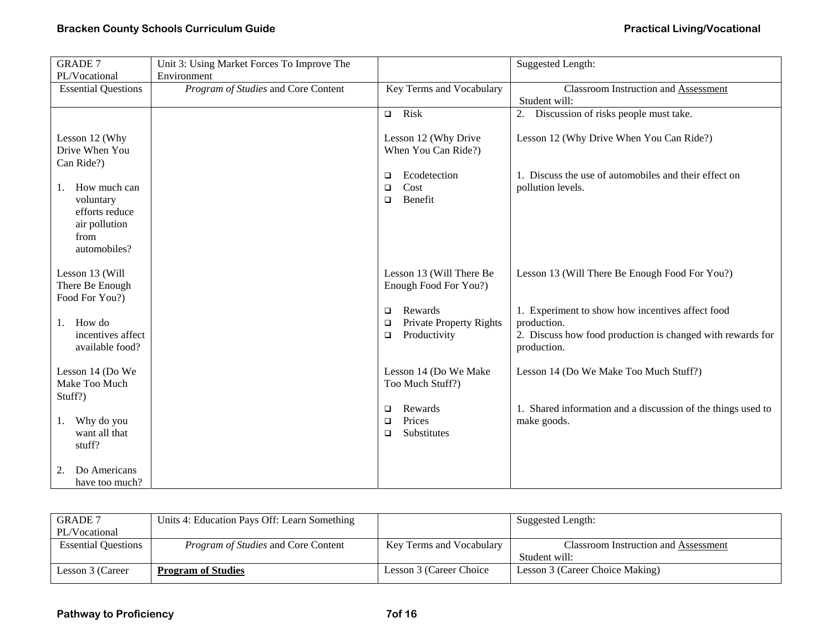| <b>GRADE 7</b>                       | Unit 3: Using Market Forces To Improve The |                              | Suggested Length:                                            |
|--------------------------------------|--------------------------------------------|------------------------------|--------------------------------------------------------------|
| PL/Vocational                        | Environment                                |                              |                                                              |
| <b>Essential Questions</b>           | Program of Studies and Core Content        | Key Terms and Vocabulary     | <b>Classroom Instruction and Assessment</b><br>Student will: |
|                                      |                                            | $\Box$ Risk                  | Discussion of risks people must take.<br>2.                  |
|                                      |                                            |                              |                                                              |
| Lesson 12 (Why                       |                                            | Lesson 12 (Why Drive         | Lesson 12 (Why Drive When You Can Ride?)                     |
| Drive When You                       |                                            | When You Can Ride?)          |                                                              |
| Can Ride?)                           |                                            |                              |                                                              |
|                                      |                                            | Ecodetection<br>$\Box$       | 1. Discuss the use of automobiles and their effect on        |
| How much can<br>1.                   |                                            | Cost<br>□                    | pollution levels.                                            |
| voluntary                            |                                            | Benefit<br>$\Box$            |                                                              |
| efforts reduce                       |                                            |                              |                                                              |
| air pollution                        |                                            |                              |                                                              |
| from<br>automobiles?                 |                                            |                              |                                                              |
|                                      |                                            |                              |                                                              |
| Lesson 13 (Will                      |                                            | Lesson 13 (Will There Be     | Lesson 13 (Will There Be Enough Food For You?)               |
| There Be Enough                      |                                            | Enough Food For You?)        |                                                              |
| Food For You?)                       |                                            |                              |                                                              |
|                                      |                                            | Rewards<br>$\Box$            | 1. Experiment to show how incentives affect food             |
| How do<br>1.                         |                                            | Private Property Rights<br>□ | production.                                                  |
| incentives affect                    |                                            | Productivity<br>□            | 2. Discuss how food production is changed with rewards for   |
| available food?                      |                                            |                              | production.                                                  |
| Lesson 14 (Do We                     |                                            | Lesson 14 (Do We Make        | Lesson 14 (Do We Make Too Much Stuff?)                       |
| Make Too Much                        |                                            | Too Much Stuff?)             |                                                              |
| Stuff?)                              |                                            |                              |                                                              |
|                                      |                                            | Rewards<br>□                 | 1. Shared information and a discussion of the things used to |
| Why do you<br>1.                     |                                            | Prices<br>□                  | make goods.                                                  |
| want all that                        |                                            | Substitutes<br>◻             |                                                              |
| stuff?                               |                                            |                              |                                                              |
|                                      |                                            |                              |                                                              |
| Do Americans<br>2.<br>have too much? |                                            |                              |                                                              |
|                                      |                                            |                              |                                                              |

| <b>GRADE 7</b>             | Units 4: Education Pays Off: Learn Something |                          | Suggested Length:                           |
|----------------------------|----------------------------------------------|--------------------------|---------------------------------------------|
| PL/Vocational              |                                              |                          |                                             |
| <b>Essential Questions</b> | <i>Program of Studies</i> and Core Content   | Key Terms and Vocabulary | <b>Classroom Instruction and Assessment</b> |
|                            |                                              |                          | Student will:                               |
| Lesson 3 (Career           | <b>Program of Studies</b>                    | Lesson 3 (Career Choice) | Lesson 3 (Career Choice Making)             |
|                            |                                              |                          |                                             |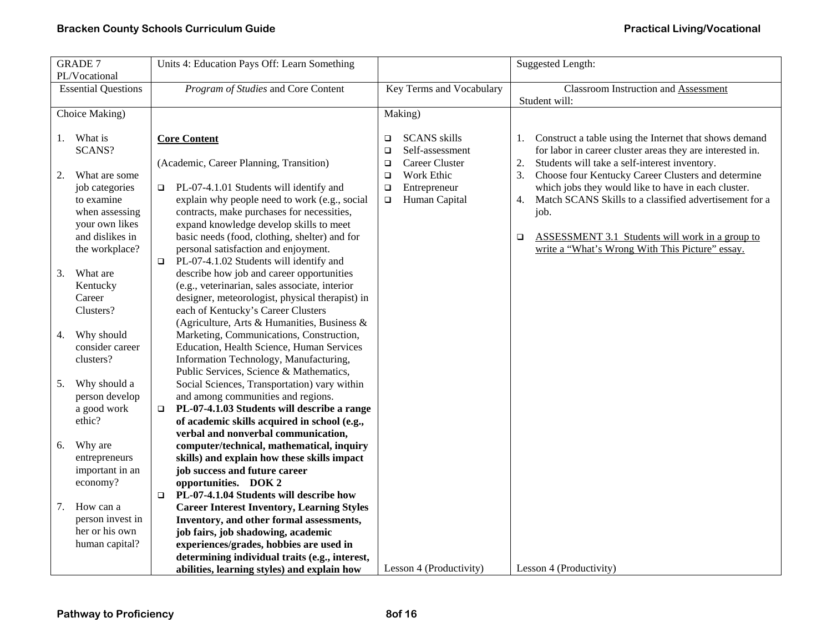|    | <b>GRADE 7</b>                |        | Units 4: Education Pays Off: Learn Something                                          |                          |                         |        | Suggested Length:                                         |
|----|-------------------------------|--------|---------------------------------------------------------------------------------------|--------------------------|-------------------------|--------|-----------------------------------------------------------|
|    | PL/Vocational                 |        |                                                                                       |                          |                         |        |                                                           |
|    | <b>Essential Questions</b>    |        | Program of Studies and Core Content                                                   | Key Terms and Vocabulary |                         |        | <b>Classroom Instruction and Assessment</b>               |
|    |                               |        |                                                                                       |                          |                         |        | Student will:                                             |
|    | Choice Making)                |        |                                                                                       | Making)                  |                         |        |                                                           |
| 1. | What is                       |        | <b>Core Content</b>                                                                   | $\Box$                   | <b>SCANS</b> skills     | 1.     | Construct a table using the Internet that shows demand    |
|    | SCANS?                        |        |                                                                                       | $\Box$                   | Self-assessment         |        | for labor in career cluster areas they are interested in. |
|    |                               |        | (Academic, Career Planning, Transition)                                               | $\Box$                   | Career Cluster          | 2.     | Students will take a self-interest inventory.             |
| 2. | What are some                 |        |                                                                                       | $\Box$                   | Work Ethic              | 3.     | Choose four Kentucky Career Clusters and determine        |
|    | job categories                | $\Box$ | PL-07-4.1.01 Students will identify and                                               | $\Box$                   | Entrepreneur            |        | which jobs they would like to have in each cluster.       |
|    | to examine                    |        | explain why people need to work (e.g., social                                         | $\Box$                   | Human Capital           | 4.     | Match SCANS Skills to a classified advertisement for a    |
|    | when assessing                |        | contracts, make purchases for necessities,                                            |                          |                         |        | job.                                                      |
|    | your own likes                |        | expand knowledge develop skills to meet                                               |                          |                         |        |                                                           |
|    | and dislikes in               |        | basic needs (food, clothing, shelter) and for                                         |                          |                         | $\Box$ | ASSESSMENT 3.1 Students will work in a group to           |
|    | the workplace?                |        | personal satisfaction and enjoyment.                                                  |                          |                         |        | write a "What's Wrong With This Picture" essay.           |
|    |                               | $\Box$ | PL-07-4.1.02 Students will identify and                                               |                          |                         |        |                                                           |
| 3. | What are                      |        | describe how job and career opportunities                                             |                          |                         |        |                                                           |
|    | Kentucky                      |        | (e.g., veterinarian, sales associate, interior                                        |                          |                         |        |                                                           |
|    | Career                        |        | designer, meteorologist, physical therapist) in                                       |                          |                         |        |                                                           |
|    | Clusters?                     |        | each of Kentucky's Career Clusters                                                    |                          |                         |        |                                                           |
|    |                               |        | (Agriculture, Arts & Humanities, Business &                                           |                          |                         |        |                                                           |
| 4. | Why should<br>consider career |        | Marketing, Communications, Construction,<br>Education, Health Science, Human Services |                          |                         |        |                                                           |
|    | clusters?                     |        | Information Technology, Manufacturing,                                                |                          |                         |        |                                                           |
|    |                               |        | Public Services, Science & Mathematics,                                               |                          |                         |        |                                                           |
| 5. | Why should a                  |        | Social Sciences, Transportation) vary within                                          |                          |                         |        |                                                           |
|    | person develop                |        | and among communities and regions.                                                    |                          |                         |        |                                                           |
|    | a good work                   | $\Box$ | PL-07-4.1.03 Students will describe a range                                           |                          |                         |        |                                                           |
|    | ethic?                        |        | of academic skills acquired in school (e.g.,                                          |                          |                         |        |                                                           |
|    |                               |        | verbal and nonverbal communication,                                                   |                          |                         |        |                                                           |
| 6. | Why are                       |        | computer/technical, mathematical, inquiry                                             |                          |                         |        |                                                           |
|    | entrepreneurs                 |        | skills) and explain how these skills impact                                           |                          |                         |        |                                                           |
|    | important in an               |        | job success and future career                                                         |                          |                         |        |                                                           |
|    | economy?                      |        | opportunities. DOK 2                                                                  |                          |                         |        |                                                           |
|    |                               | $\Box$ | PL-07-4.1.04 Students will describe how                                               |                          |                         |        |                                                           |
| 7. | How can a                     |        | <b>Career Interest Inventory, Learning Styles</b>                                     |                          |                         |        |                                                           |
|    | person invest in              |        | Inventory, and other formal assessments,                                              |                          |                         |        |                                                           |
|    | her or his own                |        | job fairs, job shadowing, academic                                                    |                          |                         |        |                                                           |
|    | human capital?                |        | experiences/grades, hobbies are used in                                               |                          |                         |        |                                                           |
|    |                               |        | determining individual traits (e.g., interest,                                        |                          |                         |        |                                                           |
|    |                               |        | abilities, learning styles) and explain how                                           |                          | Lesson 4 (Productivity) |        | Lesson 4 (Productivity)                                   |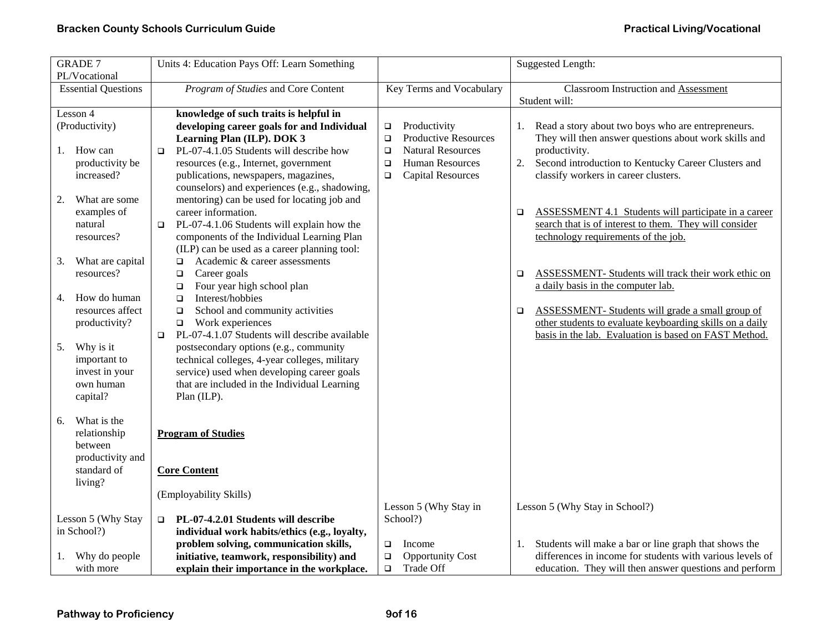| <b>GRADE 7</b><br>PL/Vocational                                            | Units 4: Education Pays Off: Learn Something                                                                                                                                                                             |                                                                                                              | <b>Suggested Length:</b>                                                                                                                                                               |
|----------------------------------------------------------------------------|--------------------------------------------------------------------------------------------------------------------------------------------------------------------------------------------------------------------------|--------------------------------------------------------------------------------------------------------------|----------------------------------------------------------------------------------------------------------------------------------------------------------------------------------------|
| <b>Essential Questions</b>                                                 | Program of Studies and Core Content                                                                                                                                                                                      | Key Terms and Vocabulary                                                                                     | <b>Classroom Instruction and Assessment</b><br>Student will:                                                                                                                           |
| Lesson 4<br>(Productivity)                                                 | knowledge of such traits is helpful in<br>developing career goals for and Individual<br>Learning Plan (ILP). DOK 3                                                                                                       | Productivity<br>$\Box$<br><b>Productive Resources</b><br>$\Box$                                              | 1. Read a story about two boys who are entrepreneurs.<br>They will then answer questions about work skills and                                                                         |
| How can<br>1.<br>productivity be<br>increased?                             | PL-07-4.1.05 Students will describe how<br>$\Box$<br>resources (e.g., Internet, government<br>publications, newspapers, magazines,<br>counselors) and experiences (e.g., shadowing,                                      | <b>Natural Resources</b><br>$\Box$<br><b>Human Resources</b><br>$\Box$<br><b>Capital Resources</b><br>$\Box$ | productivity.<br>2.<br>Second introduction to Kentucky Career Clusters and<br>classify workers in career clusters.                                                                     |
| 2.<br>What are some<br>examples of<br>natural<br>resources?                | mentoring) can be used for locating job and<br>career information.<br>PL-07-4.1.06 Students will explain how the<br>$\Box$<br>components of the Individual Learning Plan<br>(ILP) can be used as a career planning tool: |                                                                                                              | <b>ASSESSMENT 4.1 Students will participate in a career</b><br>o.<br>search that is of interest to them. They will consider<br>technology requirements of the job.                     |
| 3.<br>What are capital<br>resources?                                       | Academic & career assessments<br>$\Box$<br>Career goals<br>$\Box$<br>Four year high school plan<br>$\Box$                                                                                                                |                                                                                                              | ASSESSMENT- Students will track their work ethic on<br>$\Box$<br>a daily basis in the computer lab.                                                                                    |
| How do human<br>4.<br>resources affect<br>productivity?                    | Interest/hobbies<br>$\Box$<br>School and community activities<br>$\Box$<br>Work experiences<br>$\Box$<br>PL-07-4.1.07 Students will describe available<br>$\Box$                                                         |                                                                                                              | <b>ASSESSMENT-</b> Students will grade a small group of<br>$\Box$<br>other students to evaluate keyboarding skills on a daily<br>basis in the lab. Evaluation is based on FAST Method. |
| Why is it<br>5.<br>important to<br>invest in your<br>own human<br>capital? | postsecondary options (e.g., community<br>technical colleges, 4-year colleges, military<br>service) used when developing career goals<br>that are included in the Individual Learning<br>Plan (ILP).                     |                                                                                                              |                                                                                                                                                                                        |
| 6.<br>What is the<br>relationship<br>between<br>productivity and           | <b>Program of Studies</b>                                                                                                                                                                                                |                                                                                                              |                                                                                                                                                                                        |
| standard of<br>living?                                                     | <b>Core Content</b><br>(Employability Skills)                                                                                                                                                                            |                                                                                                              |                                                                                                                                                                                        |
|                                                                            |                                                                                                                                                                                                                          | Lesson 5 (Why Stay in                                                                                        | Lesson 5 (Why Stay in School?)                                                                                                                                                         |
| Lesson 5 (Why Stay<br>in School?)                                          | PL-07-4.2.01 Students will describe<br>$\Box$<br>individual work habits/ethics (e.g., loyalty,                                                                                                                           | School?)                                                                                                     |                                                                                                                                                                                        |
| Why do people                                                              | problem solving, communication skills,<br>initiative, teamwork, responsibility) and                                                                                                                                      | $\Box$<br>Income<br><b>Opportunity Cost</b><br>$\Box$                                                        | Students will make a bar or line graph that shows the<br>1.<br>differences in income for students with various levels of                                                               |
| with more                                                                  | explain their importance in the workplace.                                                                                                                                                                               | $\Box$<br>Trade Off                                                                                          | education. They will then answer questions and perform                                                                                                                                 |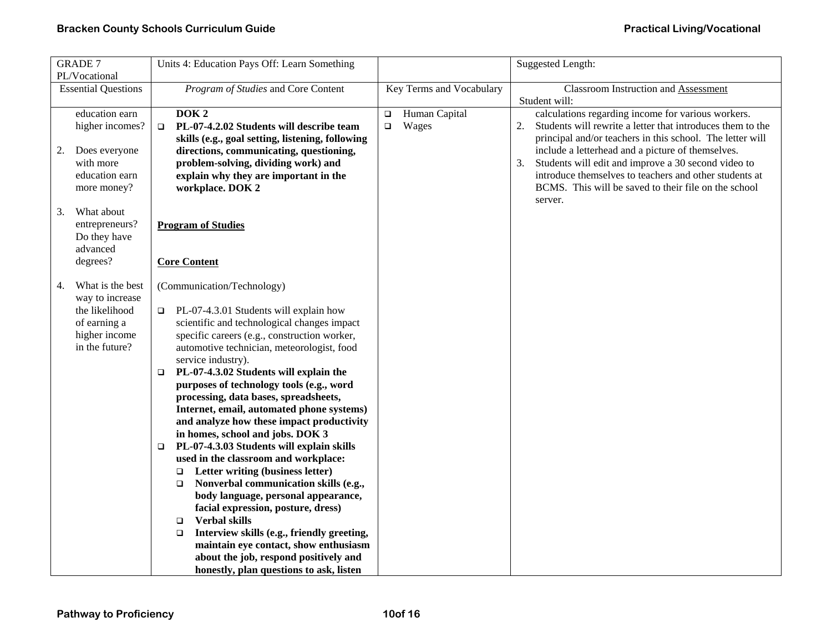| <b>GRADE 7</b><br>PL/Vocational                                                                                | Units 4: Education Pays Off: Learn Something                                                                                                                                                                                                                                                                                                                                                                                                                                                                                                                                                                                                                                                                                                                                                                                                                                                                                                                                                                            |                                            | Suggested Length:                                                                                                                                                                                                                                                                                                                                                                                                                  |
|----------------------------------------------------------------------------------------------------------------|-------------------------------------------------------------------------------------------------------------------------------------------------------------------------------------------------------------------------------------------------------------------------------------------------------------------------------------------------------------------------------------------------------------------------------------------------------------------------------------------------------------------------------------------------------------------------------------------------------------------------------------------------------------------------------------------------------------------------------------------------------------------------------------------------------------------------------------------------------------------------------------------------------------------------------------------------------------------------------------------------------------------------|--------------------------------------------|------------------------------------------------------------------------------------------------------------------------------------------------------------------------------------------------------------------------------------------------------------------------------------------------------------------------------------------------------------------------------------------------------------------------------------|
| <b>Essential Questions</b>                                                                                     | Program of Studies and Core Content                                                                                                                                                                                                                                                                                                                                                                                                                                                                                                                                                                                                                                                                                                                                                                                                                                                                                                                                                                                     | Key Terms and Vocabulary                   | <b>Classroom Instruction and Assessment</b><br>Student will:                                                                                                                                                                                                                                                                                                                                                                       |
| education earn<br>higher incomes?<br>2.<br>Does everyone<br>with more<br>education earn<br>more money?         | DOK <sub>2</sub><br>PL-07-4.2.02 Students will describe team<br>$\Box$<br>skills (e.g., goal setting, listening, following<br>directions, communicating, questioning,<br>problem-solving, dividing work) and<br>explain why they are important in the<br>workplace. DOK 2                                                                                                                                                                                                                                                                                                                                                                                                                                                                                                                                                                                                                                                                                                                                               | Human Capital<br>$\Box$<br>$\Box$<br>Wages | calculations regarding income for various workers.<br>Students will rewrite a letter that introduces them to the<br>2.<br>principal and/or teachers in this school. The letter will<br>include a letterhead and a picture of themselves.<br>Students will edit and improve a 30 second video to<br>3.<br>introduce themselves to teachers and other students at<br>BCMS. This will be saved to their file on the school<br>server. |
| What about<br>3.<br>entrepreneurs?<br>Do they have<br>advanced<br>degrees?                                     | <b>Program of Studies</b><br><b>Core Content</b>                                                                                                                                                                                                                                                                                                                                                                                                                                                                                                                                                                                                                                                                                                                                                                                                                                                                                                                                                                        |                                            |                                                                                                                                                                                                                                                                                                                                                                                                                                    |
| What is the best<br>4.<br>way to increase<br>the likelihood<br>of earning a<br>higher income<br>in the future? | (Communication/Technology)<br>PL-07-4.3.01 Students will explain how<br>□<br>scientific and technological changes impact<br>specific careers (e.g., construction worker,<br>automotive technician, meteorologist, food<br>service industry).<br>PL-07-4.3.02 Students will explain the<br>$\Box$<br>purposes of technology tools (e.g., word<br>processing, data bases, spreadsheets,<br>Internet, email, automated phone systems)<br>and analyze how these impact productivity<br>in homes, school and jobs. DOK 3<br>PL-07-4.3.03 Students will explain skills<br>$\Box$<br>used in the classroom and workplace:<br>Letter writing (business letter)<br>$\Box$<br>Nonverbal communication skills (e.g.,<br>$\Box$<br>body language, personal appearance,<br>facial expression, posture, dress)<br><b>Verbal skills</b><br>$\Box$<br>Interview skills (e.g., friendly greeting,<br>$\Box$<br>maintain eye contact, show enthusiasm<br>about the job, respond positively and<br>honestly, plan questions to ask, listen |                                            |                                                                                                                                                                                                                                                                                                                                                                                                                                    |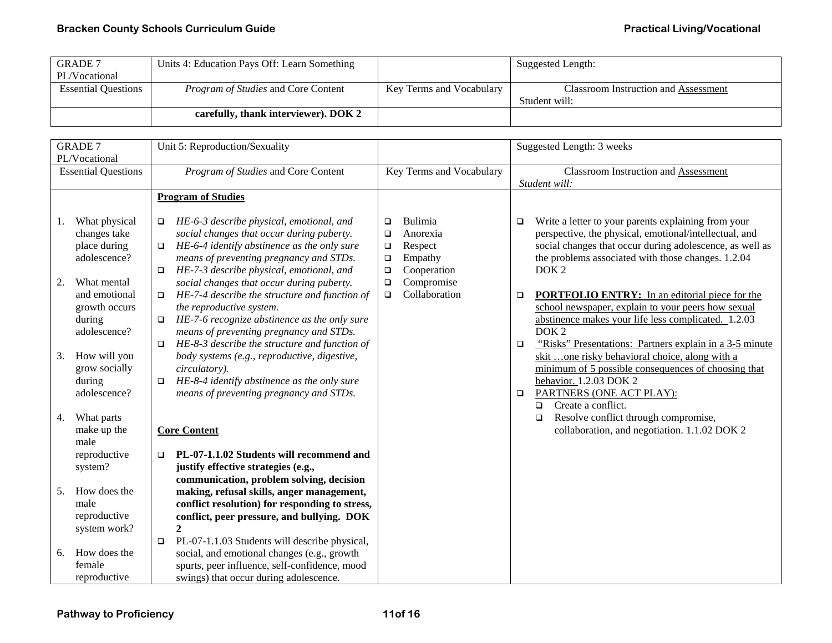| <b>GRADE 7</b>             | Units 4: Education Pays Off: Learn Something |                          | Suggested Length:                           |
|----------------------------|----------------------------------------------|--------------------------|---------------------------------------------|
| PL/Vocational              |                                              |                          |                                             |
| <b>Essential Ouestions</b> | <i>Program of Studies</i> and Core Content   | Key Terms and Vocabulary | <b>Classroom Instruction and Assessment</b> |
|                            |                                              |                          | Student will:                               |
|                            | carefully, thank interviewer). DOK 2         |                          |                                             |
|                            |                                              |                          |                                             |

|    | <b>GRADE 7</b>                | Unit 5: Reproduction/Sexuality                                                                   |                  |                          |        | Suggested Length: 3 weeks                                                                                      |
|----|-------------------------------|--------------------------------------------------------------------------------------------------|------------------|--------------------------|--------|----------------------------------------------------------------------------------------------------------------|
|    | PL/Vocational                 |                                                                                                  |                  |                          |        |                                                                                                                |
|    | <b>Essential Questions</b>    | Program of Studies and Core Content                                                              |                  | Key Terms and Vocabulary |        | <b>Classroom Instruction and Assessment</b>                                                                    |
|    |                               |                                                                                                  |                  |                          |        | Student will:                                                                                                  |
|    |                               | <b>Program of Studies</b>                                                                        |                  |                          |        |                                                                                                                |
| 1. | What physical                 | HE-6-3 describe physical, emotional, and<br>$\Box$                                               | □                | Bulimia                  | □      | Write a letter to your parents explaining from your                                                            |
|    | changes take                  | social changes that occur during puberty.                                                        | $\Box$           | Anorexia                 |        | perspective, the physical, emotional/intellectual, and                                                         |
|    | place during<br>adolescence?  | HE-6-4 identify abstinence as the only sure<br>$\Box$<br>means of preventing pregnancy and STDs. | $\Box$<br>$\Box$ | Respect<br>Empathy       |        | social changes that occur during adolescence, as well as<br>the problems associated with those changes. 1.2.04 |
|    |                               | HE-7-3 describe physical, emotional, and<br>$\Box$                                               | $\Box$           | Cooperation              |        | DOK <sub>2</sub>                                                                                               |
| 2. | What mental                   | social changes that occur during puberty.                                                        | $\Box$           | Compromise               |        |                                                                                                                |
|    | and emotional                 | HE-7-4 describe the structure and function of<br>$\Box$                                          | $\Box$           | Collaboration            | $\Box$ | <b>PORTFOLIO ENTRY:</b> In an editorial piece for the                                                          |
|    | growth occurs                 | the reproductive system.                                                                         |                  |                          |        | school newspaper, explain to your peers how sexual                                                             |
|    | during                        | HE-7-6 recognize abstinence as the only sure                                                     |                  |                          |        | abstinence makes your life less complicated. 1.2.03                                                            |
|    | adolescence?                  | means of preventing pregnancy and STDs.                                                          |                  |                          |        | DOK <sub>2</sub>                                                                                               |
|    |                               | HE-8-3 describe the structure and function of<br>$\Box$                                          |                  |                          | □      | "Risks" Presentations: Partners explain in a 3-5 minute                                                        |
| 3. | How will you<br>grow socially | body systems (e.g., reproductive, digestive,<br>circulatory).                                    |                  |                          |        | skit one risky behavioral choice, along with a<br>minimum of 5 possible consequences of choosing that          |
|    | during                        | HE-8-4 identify abstinence as the only sure<br>$\Box$                                            |                  |                          |        | behavior. 1.2.03 DOK 2                                                                                         |
|    | adolescence?                  | means of preventing pregnancy and STDs.                                                          |                  |                          | $\Box$ | PARTNERS (ONE ACT PLAY):                                                                                       |
|    |                               |                                                                                                  |                  |                          |        | Create a conflict.<br>$\Box$                                                                                   |
| 4. | What parts                    |                                                                                                  |                  |                          |        | Resolve conflict through compromise,<br>$\Box$                                                                 |
|    | make up the                   | <b>Core Content</b>                                                                              |                  |                          |        | collaboration, and negotiation. 1.1.02 DOK 2                                                                   |
|    | male                          |                                                                                                  |                  |                          |        |                                                                                                                |
|    | reproductive                  | PL-07-1.1.02 Students will recommend and                                                         |                  |                          |        |                                                                                                                |
|    | system?                       | justify effective strategies (e.g.,                                                              |                  |                          |        |                                                                                                                |
| 5. | How does the                  | communication, problem solving, decision<br>making, refusal skills, anger management,            |                  |                          |        |                                                                                                                |
|    | male                          | conflict resolution) for responding to stress,                                                   |                  |                          |        |                                                                                                                |
|    | reproductive                  | conflict, peer pressure, and bullying. DOK                                                       |                  |                          |        |                                                                                                                |
|    | system work?                  | $\mathbf{2}$                                                                                     |                  |                          |        |                                                                                                                |
|    |                               | PL-07-1.1.03 Students will describe physical,<br>$\Box$                                          |                  |                          |        |                                                                                                                |
| 6. | How does the                  | social, and emotional changes (e.g., growth                                                      |                  |                          |        |                                                                                                                |
|    | female                        | spurts, peer influence, self-confidence, mood                                                    |                  |                          |        |                                                                                                                |
|    | reproductive                  | swings) that occur during adolescence.                                                           |                  |                          |        |                                                                                                                |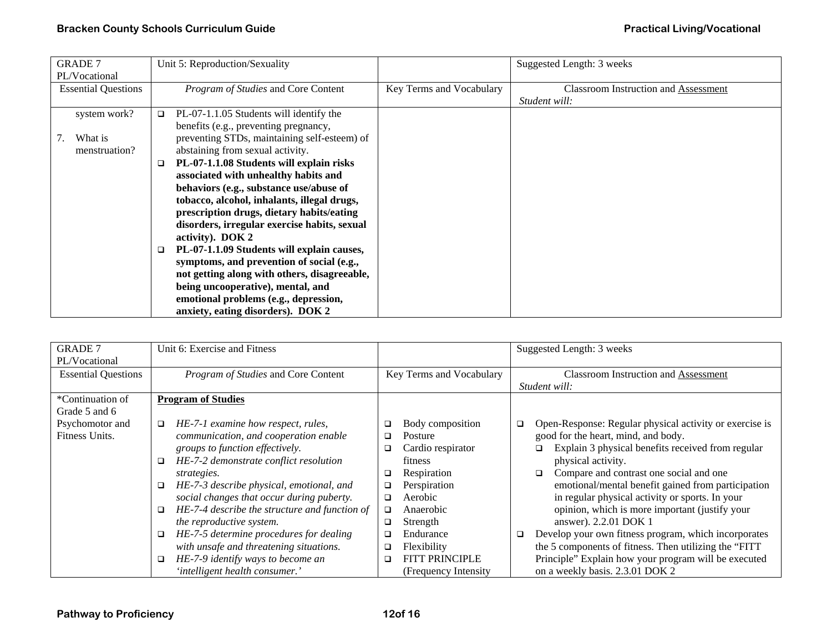| <b>GRADE 7</b>             | Unit 5: Reproduction/Sexuality                     |                          | Suggested Length: 3 weeks                   |
|----------------------------|----------------------------------------------------|--------------------------|---------------------------------------------|
| PL/Vocational              |                                                    |                          |                                             |
| <b>Essential Questions</b> | Program of Studies and Core Content                | Key Terms and Vocabulary | <b>Classroom Instruction and Assessment</b> |
|                            |                                                    |                          | Student will:                               |
| system work?               | PL-07-1.1.05 Students will identify the<br>□       |                          |                                             |
|                            | benefits (e.g., preventing pregnancy,              |                          |                                             |
| What is                    | preventing STDs, maintaining self-esteem) of       |                          |                                             |
| menstruation?              | abstaining from sexual activity.                   |                          |                                             |
|                            | PL-07-1.1.08 Students will explain risks<br>$\Box$ |                          |                                             |
|                            | associated with unhealthy habits and               |                          |                                             |
|                            | behaviors (e.g., substance use/abuse of            |                          |                                             |
|                            | tobacco, alcohol, inhalants, illegal drugs,        |                          |                                             |
|                            | prescription drugs, dietary habits/eating          |                          |                                             |
|                            | disorders, irregular exercise habits, sexual       |                          |                                             |
|                            | activity). DOK 2                                   |                          |                                             |
|                            | PL-07-1.1.09 Students will explain causes,<br>❏    |                          |                                             |
|                            | symptoms, and prevention of social (e.g.,          |                          |                                             |
|                            | not getting along with others, disagreeable,       |                          |                                             |
|                            | being uncooperative), mental, and                  |                          |                                             |
|                            | emotional problems (e.g., depression,              |                          |                                             |
|                            | anxiety, eating disorders). DOK 2                  |                          |                                             |

| <b>GRADE 7</b>             | Unit 6: Exercise and Fitness                            |                          | Suggested Length: 3 weeks                                         |
|----------------------------|---------------------------------------------------------|--------------------------|-------------------------------------------------------------------|
| PL/Vocational              |                                                         |                          |                                                                   |
| <b>Essential Questions</b> | Program of Studies and Core Content                     | Key Terms and Vocabulary | Classroom Instruction and Assessment                              |
|                            |                                                         |                          | Student will:                                                     |
| *Continuation of           | <b>Program of Studies</b>                               |                          |                                                                   |
| Grade 5 and 6              |                                                         |                          |                                                                   |
| Psychomotor and            | HE-7-1 examine how respect, rules,<br>$\Box$            | Body composition<br>□    | Open-Response: Regular physical activity or exercise is<br>$\Box$ |
| Fitness Units.             | communication, and cooperation enable                   | Posture<br>$\Box$        | good for the heart, mind, and body.                               |
|                            | groups to function effectively.                         | Cardio respirator<br>❏   | Explain 3 physical benefits received from regular                 |
|                            | HE-7-2 demonstrate conflict resolution                  | <b>fitness</b>           | physical activity.                                                |
|                            | strategies.                                             | Respiration<br>◘         | Compare and contrast one social and one<br>□                      |
|                            | HE-7-3 describe physical, emotional, and<br>$\Box$      | Perspiration<br>❏        | emotional/mental benefit gained from participation                |
|                            | social changes that occur during puberty.               | Aerobic<br>❏             | in regular physical activity or sports. In your                   |
|                            | HE-7-4 describe the structure and function of<br>$\Box$ | Anaerobic<br>□           | opinion, which is more important (justify your                    |
|                            | the reproductive system.                                | Strength<br>$\Box$       | answer). 2.2.01 DOK 1                                             |
|                            | HE-7-5 determine procedures for dealing<br>$\Box$       | Endurance<br>□           | Develop your own fitness program, which incorporates<br>$\Box$    |
|                            | with unsafe and threatening situations.                 | Flexibility<br>□         | the 5 components of fitness. Then utilizing the "FITT"            |
|                            | HE-7-9 identify ways to become an<br>$\Box$             | FITT PRINCIPLE<br>❏      | Principle" Explain how your program will be executed              |
|                            | 'intelligent health consumer.'                          | (Frequency Intensity)    | on a weekly basis. 2.3.01 DOK 2                                   |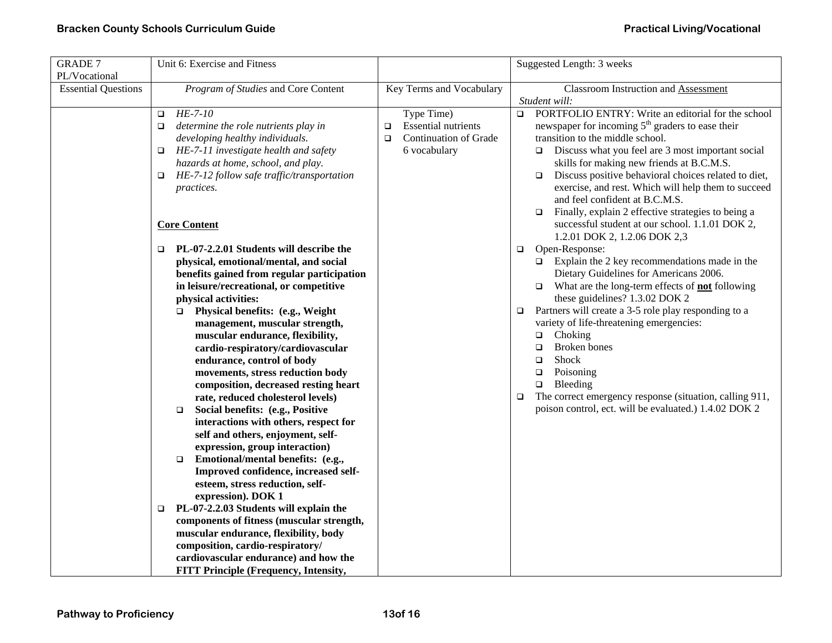| <b>GRADE 7</b>                              | Unit 6: Exercise and Fitness                                                                                                                                                                                                                                                                                                                                                                                                                                                                                                                                                                                                                                                                                                                                                                                                                                                                                                                                                                                                                                                                                                                                                                                               |                                                                                                              | Suggested Length: 3 weeks                                                                                                                                                                                                                                                                                                                                                                                                                                                                                                                                                                                                                                                                                                                                                                                                                                                                                                                                                                                                                                                                                                                                                                        |
|---------------------------------------------|----------------------------------------------------------------------------------------------------------------------------------------------------------------------------------------------------------------------------------------------------------------------------------------------------------------------------------------------------------------------------------------------------------------------------------------------------------------------------------------------------------------------------------------------------------------------------------------------------------------------------------------------------------------------------------------------------------------------------------------------------------------------------------------------------------------------------------------------------------------------------------------------------------------------------------------------------------------------------------------------------------------------------------------------------------------------------------------------------------------------------------------------------------------------------------------------------------------------------|--------------------------------------------------------------------------------------------------------------|--------------------------------------------------------------------------------------------------------------------------------------------------------------------------------------------------------------------------------------------------------------------------------------------------------------------------------------------------------------------------------------------------------------------------------------------------------------------------------------------------------------------------------------------------------------------------------------------------------------------------------------------------------------------------------------------------------------------------------------------------------------------------------------------------------------------------------------------------------------------------------------------------------------------------------------------------------------------------------------------------------------------------------------------------------------------------------------------------------------------------------------------------------------------------------------------------|
| PL/Vocational<br><b>Essential Questions</b> | Program of Studies and Core Content                                                                                                                                                                                                                                                                                                                                                                                                                                                                                                                                                                                                                                                                                                                                                                                                                                                                                                                                                                                                                                                                                                                                                                                        | Key Terms and Vocabulary                                                                                     | Classroom Instruction and Assessment                                                                                                                                                                                                                                                                                                                                                                                                                                                                                                                                                                                                                                                                                                                                                                                                                                                                                                                                                                                                                                                                                                                                                             |
|                                             | HE-7-10<br>$\Box$<br>determine the role nutrients play in<br>□<br>developing healthy individuals.<br>HE-7-11 investigate health and safety<br>$\Box$<br>hazards at home, school, and play.<br>HE-7-12 follow safe traffic/transportation<br>$\Box$<br>practices.<br><b>Core Content</b><br>PL-07-2.2.01 Students will describe the<br>$\Box$<br>physical, emotional/mental, and social<br>benefits gained from regular participation<br>in leisure/recreational, or competitive<br>physical activities:<br>Physical benefits: (e.g., Weight<br>$\Box$<br>management, muscular strength,<br>muscular endurance, flexibility,<br>cardio-respiratory/cardiovascular<br>endurance, control of body<br>movements, stress reduction body<br>composition, decreased resting heart<br>rate, reduced cholesterol levels)<br>Social benefits: (e.g., Positive<br>$\Box$<br>interactions with others, respect for<br>self and others, enjoyment, self-<br>expression, group interaction)<br>Emotional/mental benefits: (e.g.,<br>$\Box$<br>Improved confidence, increased self-<br>esteem, stress reduction, self-<br>expression). DOK 1<br>PL-07-2.2.03 Students will explain the<br>o.<br>components of fitness (muscular strength, | Type Time)<br><b>Essential nutrients</b><br>$\Box$<br><b>Continuation of Grade</b><br>$\Box$<br>6 vocabulary | Student will:<br>PORTFOLIO ENTRY: Write an editorial for the school<br>$\Box$<br>newspaper for incoming 5 <sup>th</sup> graders to ease their<br>transition to the middle school.<br>$\Box$ Discuss what you feel are 3 most important social<br>skills for making new friends at B.C.M.S.<br>Discuss positive behavioral choices related to diet,<br>$\Box$<br>exercise, and rest. Which will help them to succeed<br>and feel confident at B.C.M.S.<br>Finally, explain 2 effective strategies to being a<br>$\Box$<br>successful student at our school. 1.1.01 DOK 2,<br>1.2.01 DOK 2, 1.2.06 DOK 2,3<br>Open-Response:<br>$\Box$<br>$\Box$ Explain the 2 key recommendations made in the<br>Dietary Guidelines for Americans 2006.<br>What are the long-term effects of not following<br>$\Box$<br>these guidelines? 1.3.02 DOK 2<br>Partners will create a 3-5 role play responding to a<br>$\Box$<br>variety of life-threatening emergencies:<br>Choking<br>$\Box$<br>Broken bones<br>$\Box$<br>Shock<br>$\Box$<br>Poisoning<br>$\Box$<br>Bleeding<br>$\Box$<br>The correct emergency response (situation, calling 911,<br>$\Box$<br>poison control, ect. will be evaluated.) 1.4.02 DOK 2 |
|                                             | muscular endurance, flexibility, body<br>composition, cardio-respiratory/<br>cardiovascular endurance) and how the                                                                                                                                                                                                                                                                                                                                                                                                                                                                                                                                                                                                                                                                                                                                                                                                                                                                                                                                                                                                                                                                                                         |                                                                                                              |                                                                                                                                                                                                                                                                                                                                                                                                                                                                                                                                                                                                                                                                                                                                                                                                                                                                                                                                                                                                                                                                                                                                                                                                  |
|                                             | <b>FITT Principle (Frequency, Intensity,</b>                                                                                                                                                                                                                                                                                                                                                                                                                                                                                                                                                                                                                                                                                                                                                                                                                                                                                                                                                                                                                                                                                                                                                                               |                                                                                                              |                                                                                                                                                                                                                                                                                                                                                                                                                                                                                                                                                                                                                                                                                                                                                                                                                                                                                                                                                                                                                                                                                                                                                                                                  |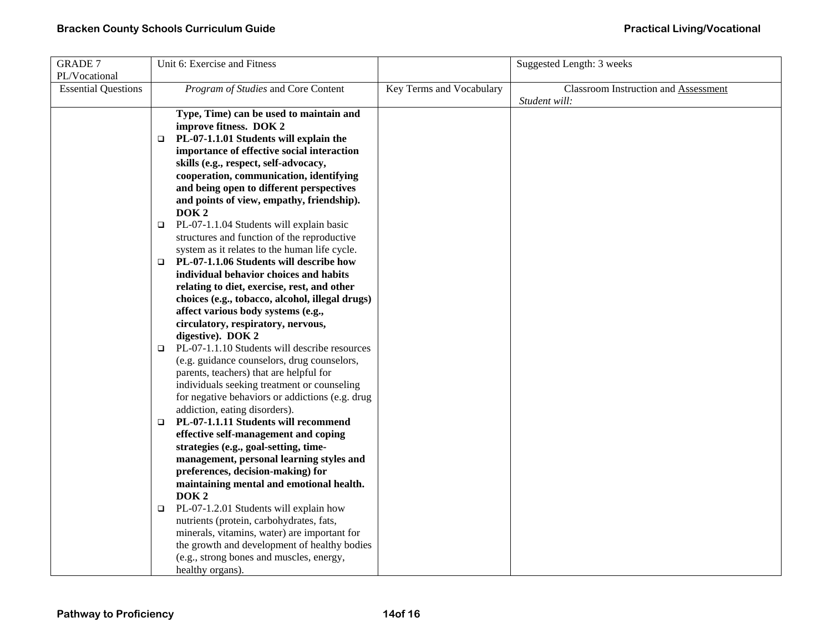| <b>GRADE 7</b>             |        | Unit 6: Exercise and Fitness                    |                          | Suggested Length: 3 weeks                   |
|----------------------------|--------|-------------------------------------------------|--------------------------|---------------------------------------------|
| PL/Vocational              |        |                                                 |                          |                                             |
| <b>Essential Questions</b> |        | Program of Studies and Core Content             | Key Terms and Vocabulary | <b>Classroom Instruction and Assessment</b> |
|                            |        |                                                 |                          | Student will:                               |
|                            |        | Type, Time) can be used to maintain and         |                          |                                             |
|                            |        | improve fitness. DOK 2                          |                          |                                             |
|                            | $\Box$ | PL-07-1.1.01 Students will explain the          |                          |                                             |
|                            |        | importance of effective social interaction      |                          |                                             |
|                            |        | skills (e.g., respect, self-advocacy,           |                          |                                             |
|                            |        | cooperation, communication, identifying         |                          |                                             |
|                            |        | and being open to different perspectives        |                          |                                             |
|                            |        | and points of view, empathy, friendship).       |                          |                                             |
|                            |        | DOK <sub>2</sub>                                |                          |                                             |
|                            | $\Box$ | PL-07-1.1.04 Students will explain basic        |                          |                                             |
|                            |        | structures and function of the reproductive     |                          |                                             |
|                            |        | system as it relates to the human life cycle.   |                          |                                             |
|                            | □      | PL-07-1.1.06 Students will describe how         |                          |                                             |
|                            |        | individual behavior choices and habits          |                          |                                             |
|                            |        | relating to diet, exercise, rest, and other     |                          |                                             |
|                            |        | choices (e.g., tobacco, alcohol, illegal drugs) |                          |                                             |
|                            |        | affect various body systems (e.g.,              |                          |                                             |
|                            |        | circulatory, respiratory, nervous,              |                          |                                             |
|                            |        | digestive). DOK 2                               |                          |                                             |
|                            | $\Box$ | PL-07-1.1.10 Students will describe resources   |                          |                                             |
|                            |        | (e.g. guidance counselors, drug counselors,     |                          |                                             |
|                            |        | parents, teachers) that are helpful for         |                          |                                             |
|                            |        | individuals seeking treatment or counseling     |                          |                                             |
|                            |        | for negative behaviors or addictions (e.g. drug |                          |                                             |
|                            |        | addiction, eating disorders).                   |                          |                                             |
|                            | $\Box$ | PL-07-1.1.11 Students will recommend            |                          |                                             |
|                            |        | effective self-management and coping            |                          |                                             |
|                            |        | strategies (e.g., goal-setting, time-           |                          |                                             |
|                            |        | management, personal learning styles and        |                          |                                             |
|                            |        | preferences, decision-making) for               |                          |                                             |
|                            |        | maintaining mental and emotional health.        |                          |                                             |
|                            |        | DOK <sub>2</sub>                                |                          |                                             |
|                            | $\Box$ | PL-07-1.2.01 Students will explain how          |                          |                                             |
|                            |        | nutrients (protein, carbohydrates, fats,        |                          |                                             |
|                            |        | minerals, vitamins, water) are important for    |                          |                                             |
|                            |        | the growth and development of healthy bodies    |                          |                                             |
|                            |        | (e.g., strong bones and muscles, energy,        |                          |                                             |
|                            |        | healthy organs).                                |                          |                                             |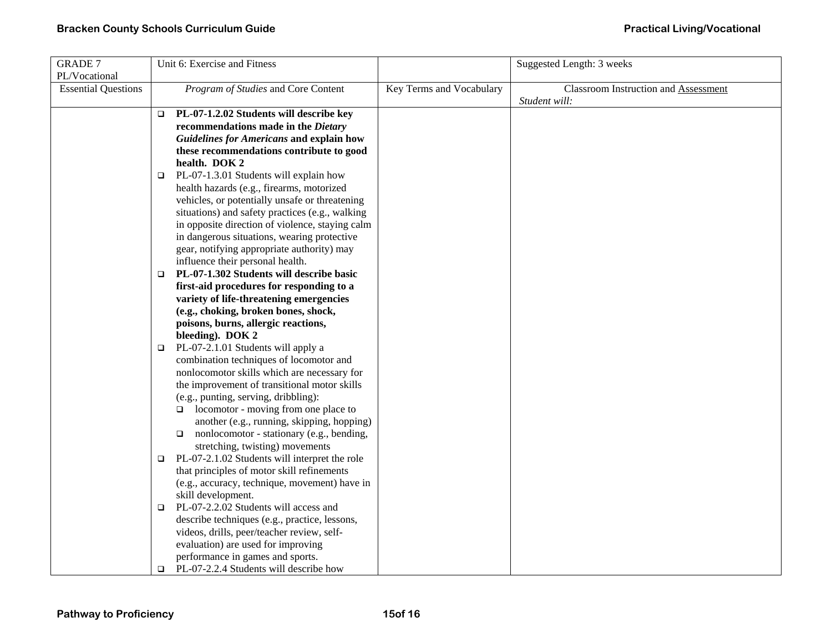| <b>GRADE 7</b>             | Unit 6: Exercise and Fitness                                                                |                          | Suggested Length: 3 weeks                   |
|----------------------------|---------------------------------------------------------------------------------------------|--------------------------|---------------------------------------------|
| PL/Vocational              |                                                                                             |                          |                                             |
| <b>Essential Questions</b> | Program of Studies and Core Content                                                         | Key Terms and Vocabulary | <b>Classroom Instruction and Assessment</b> |
|                            |                                                                                             |                          | Student will:                               |
|                            | PL-07-1.2.02 Students will describe key<br>$\Box$                                           |                          |                                             |
|                            | recommendations made in the Dietary                                                         |                          |                                             |
|                            | <b>Guidelines for Americans and explain how</b>                                             |                          |                                             |
|                            | these recommendations contribute to good                                                    |                          |                                             |
|                            | health. DOK 2                                                                               |                          |                                             |
|                            | PL-07-1.3.01 Students will explain how<br>$\Box$                                            |                          |                                             |
|                            | health hazards (e.g., firearms, motorized                                                   |                          |                                             |
|                            | vehicles, or potentially unsafe or threatening                                              |                          |                                             |
|                            | situations) and safety practices (e.g., walking                                             |                          |                                             |
|                            | in opposite direction of violence, staying calm                                             |                          |                                             |
|                            | in dangerous situations, wearing protective                                                 |                          |                                             |
|                            | gear, notifying appropriate authority) may                                                  |                          |                                             |
|                            | influence their personal health.                                                            |                          |                                             |
|                            | PL-07-1.302 Students will describe basic<br>$\Box$                                          |                          |                                             |
|                            | first-aid procedures for responding to a                                                    |                          |                                             |
|                            | variety of life-threatening emergencies                                                     |                          |                                             |
|                            | (e.g., choking, broken bones, shock,                                                        |                          |                                             |
|                            | poisons, burns, allergic reactions,                                                         |                          |                                             |
|                            | bleeding). DOK 2                                                                            |                          |                                             |
|                            | PL-07-2.1.01 Students will apply a<br>$\Box$                                                |                          |                                             |
|                            | combination techniques of locomotor and                                                     |                          |                                             |
|                            | nonlocomotor skills which are necessary for                                                 |                          |                                             |
|                            | the improvement of transitional motor skills                                                |                          |                                             |
|                            | (e.g., punting, serving, dribbling):                                                        |                          |                                             |
|                            | locomotor - moving from one place to                                                        |                          |                                             |
|                            | another (e.g., running, skipping, hopping)                                                  |                          |                                             |
|                            | nonlocomotor - stationary (e.g., bending,<br>$\Box$                                         |                          |                                             |
|                            | stretching, twisting) movements                                                             |                          |                                             |
|                            | PL-07-2.1.02 Students will interpret the role<br>$\Box$                                     |                          |                                             |
|                            | that principles of motor skill refinements                                                  |                          |                                             |
|                            | (e.g., accuracy, technique, movement) have in                                               |                          |                                             |
|                            | skill development.<br>PL-07-2.2.02 Students will access and                                 |                          |                                             |
|                            | $\Box$                                                                                      |                          |                                             |
|                            | describe techniques (e.g., practice, lessons,<br>videos, drills, peer/teacher review, self- |                          |                                             |
|                            | evaluation) are used for improving                                                          |                          |                                             |
|                            | performance in games and sports.                                                            |                          |                                             |
|                            | PL-07-2.2.4 Students will describe how<br>$\Box$                                            |                          |                                             |